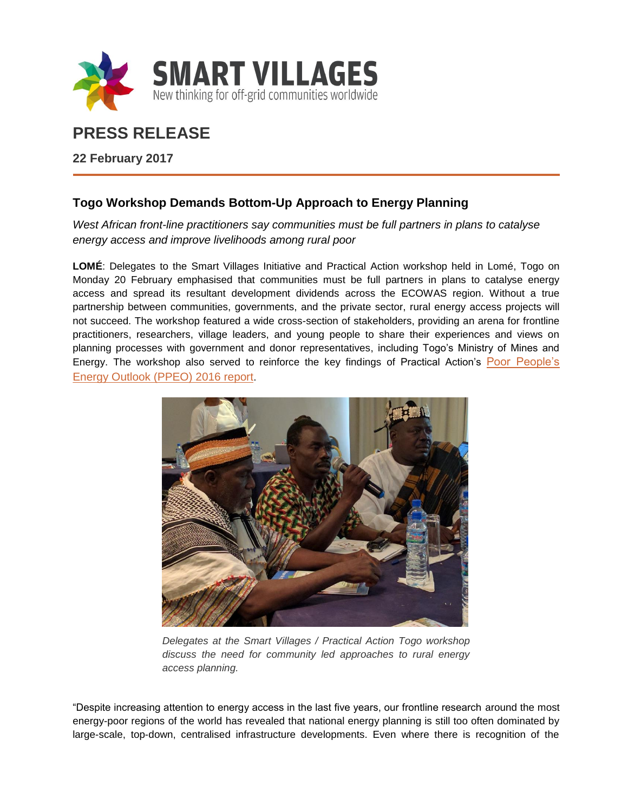

# **PRESS RELEASE**

**22 February 2017**

# **Togo Workshop Demands Bottom-Up Approach to Energy Planning**

*West African front-line practitioners say communities must be full partners in plans to catalyse energy access and improve livelihoods among rural poor* 

**LOMÉ**: Delegates to the Smart Villages Initiative and Practical Action workshop held in Lomé, Togo on Monday 20 February emphasised that communities must be full partners in plans to catalyse energy access and spread its resultant development dividends across the ECOWAS region. Without a true partnership between communities, governments, and the private sector, rural energy access projects will not succeed. The workshop featured a wide cross-section of stakeholders, providing an arena for frontline practitioners, researchers, village leaders, and young people to share their experiences and views on planning processes with government and donor representatives, including Togo's Ministry of Mines and Energy. The workshop also served to reinforce the key findings of Practical Action's [Poor People's](http://policy.practicalaction.org/policy-themes/energy/poor-peoples-energy-outlook/poor-people-s-energy-outlook-2016)  [Energy Outlook \(PPEO\) 2016 report](http://policy.practicalaction.org/policy-themes/energy/poor-peoples-energy-outlook/poor-people-s-energy-outlook-2016).



*Delegates at the Smart Villages / Practical Action Togo workshop discuss the need for community led approaches to rural energy access planning.*

"Despite increasing attention to energy access in the last five years, our frontline research around the most energy-poor regions of the world has revealed that national energy planning is still too often dominated by large-scale, top-down, centralised infrastructure developments. Even where there is recognition of the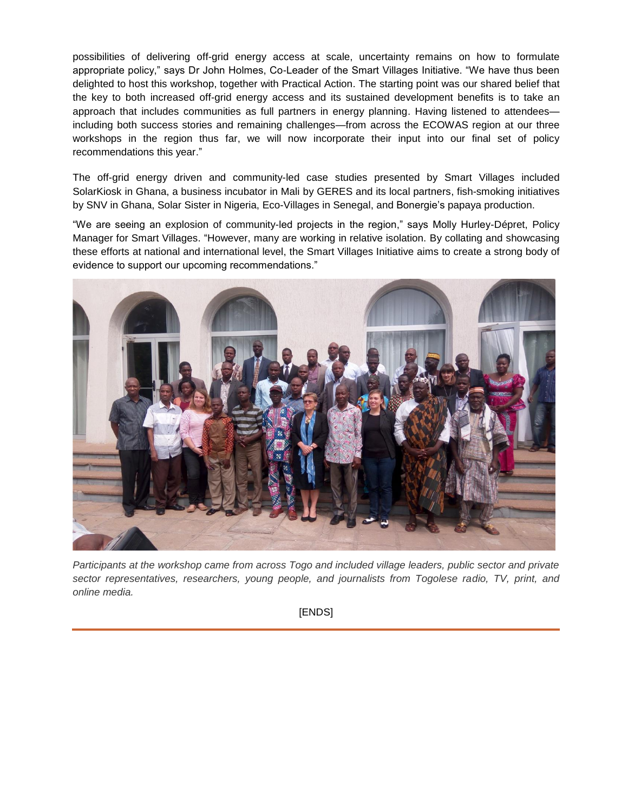possibilities of delivering off-grid energy access at scale, uncertainty remains on how to formulate appropriate policy," says Dr John Holmes, Co-Leader of the Smart Villages Initiative. "We have thus been delighted to host this workshop, together with Practical Action. The starting point was our shared belief that the key to both increased off-grid energy access and its sustained development benefits is to take an approach that includes communities as full partners in energy planning. Having listened to attendees including both success stories and remaining challenges—from across the ECOWAS region at our three workshops in the region thus far, we will now incorporate their input into our final set of policy recommendations this year."

The off-grid energy driven and community-led case studies presented by Smart Villages included SolarKiosk in Ghana, a business incubator in Mali by GERES and its local partners, fish-smoking initiatives by SNV in Ghana, Solar Sister in Nigeria, Eco-Villages in Senegal, and Bonergie's papaya production.

"We are seeing an explosion of community-led projects in the region," says Molly Hurley-Dépret, Policy Manager for Smart Villages. "However, many are working in relative isolation. By collating and showcasing these efforts at national and international level, the Smart Villages Initiative aims to create a strong body of evidence to support our upcoming recommendations."



*Participants at the workshop came from across Togo and included village leaders, public sector and private sector representatives, researchers, young people, and journalists from Togolese radio, TV, print, and online media.*

[ENDS]